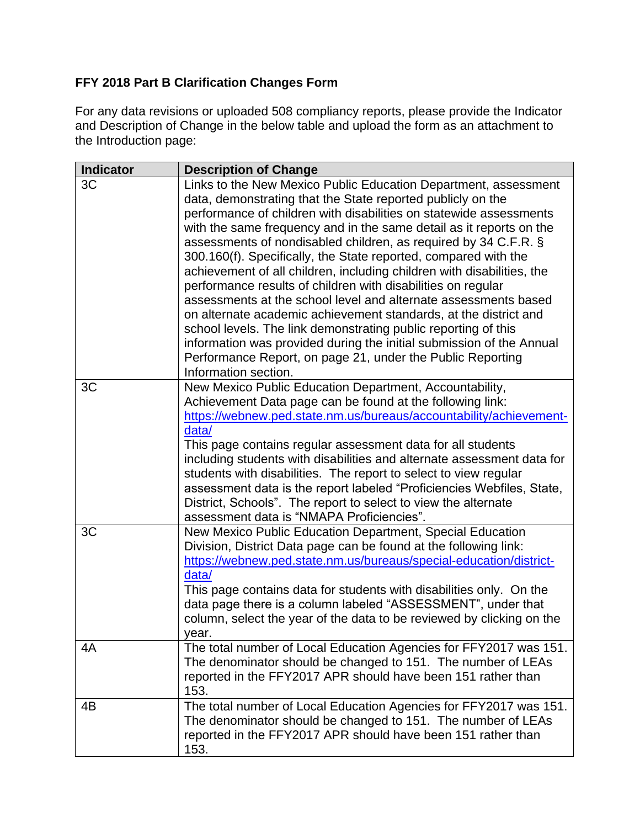## **FFY 2018 Part B Clarification Changes Form**

For any data revisions or uploaded 508 compliancy reports, please provide the Indicator and Description of Change in the below table and upload the form as an attachment to the Introduction page:

| <b>Indicator</b> | <b>Description of Change</b>                                                                                                                                                                                                                                                                                                                                                                                                                                                                                                                                                                                                                                                                                                                                                                                                                                                                                                       |
|------------------|------------------------------------------------------------------------------------------------------------------------------------------------------------------------------------------------------------------------------------------------------------------------------------------------------------------------------------------------------------------------------------------------------------------------------------------------------------------------------------------------------------------------------------------------------------------------------------------------------------------------------------------------------------------------------------------------------------------------------------------------------------------------------------------------------------------------------------------------------------------------------------------------------------------------------------|
| 3C               | Links to the New Mexico Public Education Department, assessment<br>data, demonstrating that the State reported publicly on the<br>performance of children with disabilities on statewide assessments<br>with the same frequency and in the same detail as it reports on the<br>assessments of nondisabled children, as required by 34 C.F.R. §<br>300.160(f). Specifically, the State reported, compared with the<br>achievement of all children, including children with disabilities, the<br>performance results of children with disabilities on regular<br>assessments at the school level and alternate assessments based<br>on alternate academic achievement standards, at the district and<br>school levels. The link demonstrating public reporting of this<br>information was provided during the initial submission of the Annual<br>Performance Report, on page 21, under the Public Reporting<br>Information section. |
| 3C               | New Mexico Public Education Department, Accountability,<br>Achievement Data page can be found at the following link:<br>https://webnew.ped.state.nm.us/bureaus/accountability/achievement-<br>data/<br>This page contains regular assessment data for all students<br>including students with disabilities and alternate assessment data for<br>students with disabilities. The report to select to view regular<br>assessment data is the report labeled "Proficiencies Webfiles, State,<br>District, Schools". The report to select to view the alternate<br>assessment data is "NMAPA Proficiencies".                                                                                                                                                                                                                                                                                                                           |
| 3C               | New Mexico Public Education Department, Special Education<br>Division, District Data page can be found at the following link:<br>https://webnew.ped.state.nm.us/bureaus/special-education/district-<br>data/<br>This page contains data for students with disabilities only. On the<br>data page there is a column labeled "ASSESSMENT", under that<br>column, select the year of the data to be reviewed by clicking on the<br>year.                                                                                                                                                                                                                                                                                                                                                                                                                                                                                              |
| 4A               | The total number of Local Education Agencies for FFY2017 was 151.<br>The denominator should be changed to 151. The number of LEAs<br>reported in the FFY2017 APR should have been 151 rather than<br>153.                                                                                                                                                                                                                                                                                                                                                                                                                                                                                                                                                                                                                                                                                                                          |
| 4B               | The total number of Local Education Agencies for FFY2017 was 151.<br>The denominator should be changed to 151. The number of LEAs<br>reported in the FFY2017 APR should have been 151 rather than<br>153.                                                                                                                                                                                                                                                                                                                                                                                                                                                                                                                                                                                                                                                                                                                          |